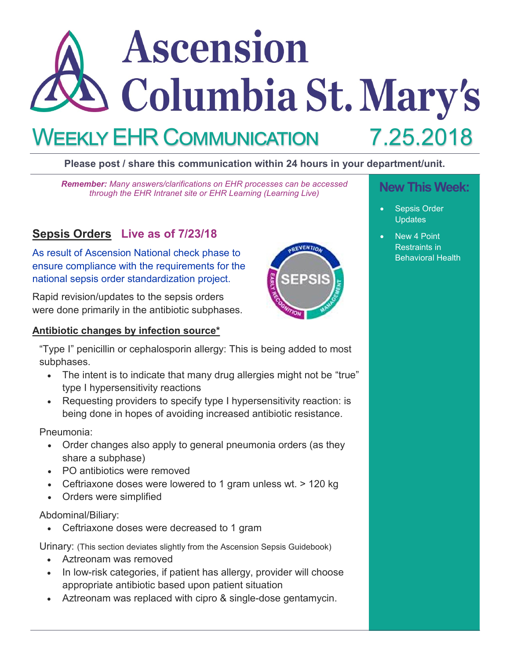# Ascension Columbia St. Mary's 7.25.2018 WEEKLY EHR COMMUNICATION

# **Please post / share this communication within 24 hours in your department/unit.**

**New This Week:** *Remember: Many answers/clarifications on EHR processes can be accessed through the EHR Intranet site or EHR Learning (Learning Live)*

# **Sepsis Orders Live as of 7/23/18**

As result of Ascension National check phase to ensure compliance with the requirements for the national sepsis order standardization project.

Rapid revision/updates to the sepsis orders were done primarily in the antibiotic subphases.

#### **Antibiotic changes by infection source\***

"Type I" penicillin or cephalosporin allergy: This is being added to most subphases.

- The intent is to indicate that many drug allergies might not be "true" type I hypersensitivity reactions
- Requesting providers to specify type I hypersensitivity reaction: is being done in hopes of avoiding increased antibiotic resistance.

Pneumonia:

- Order changes also apply to general pneumonia orders (as they share a subphase)
- PO antibiotics were removed
- Ceftriaxone doses were lowered to 1 gram unless wt. > 120 kg
- Orders were simplified

Abdominal/Biliary:

• Ceftriaxone doses were decreased to 1 gram

Urinary: (This section deviates slightly from the Ascension Sepsis Guidebook)

- Aztreonam was removed
- In low-risk categories, if patient has allergy, provider will choose appropriate antibiotic based upon patient situation
- Aztreonam was replaced with cipro & single-dose gentamycin.

- Sepsis Order **Updates**
- New 4 Point Restraints in Behavioral Health

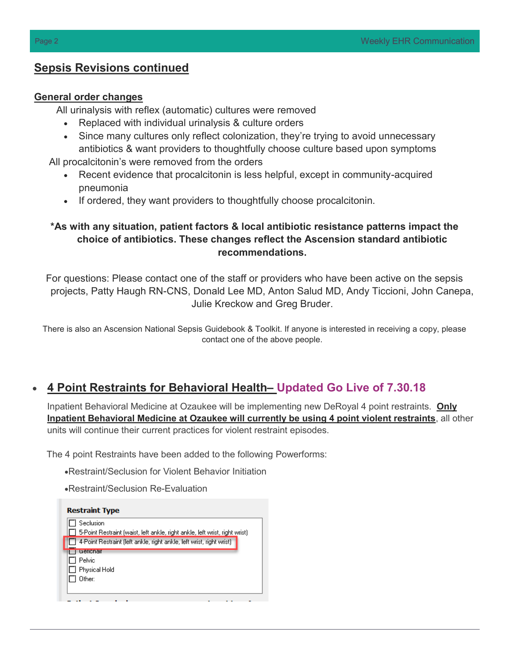# **Sepsis Revisions continued**

#### **General order changes**

All urinalysis with reflex (automatic) cultures were removed

- Replaced with individual urinalysis & culture orders
- Since many cultures only reflect colonization, they're trying to avoid unnecessary antibiotics & want providers to thoughtfully choose culture based upon symptoms

All procalcitonin's were removed from the orders

- Recent evidence that procalcitonin is less helpful, except in community-acquired pneumonia
- If ordered, they want providers to thoughtfully choose procalcitonin.

## **\*As with any situation, patient factors & local antibiotic resistance patterns impact the choice of antibiotics. These changes reflect the Ascension standard antibiotic recommendations.**

For questions: Please contact one of the staff or providers who have been active on the sepsis projects, Patty Haugh RN-CNS, Donald Lee MD, Anton Salud MD, Andy Ticcioni, John Canepa, Julie Kreckow and Greg Bruder.

There is also an Ascension National Sepsis Guidebook & Toolkit. If anyone is interested in receiving a copy, please contact one of the above people.

# • **4 Point Restraints for Behavioral Health– Updated Go Live of 7.30.18**

Inpatient Behavioral Medicine at Ozaukee will be implementing new DeRoyal 4 point restraints. **Only Inpatient Behavioral Medicine at Ozaukee will currently be using 4 point violent restraints**, all other units will continue their current practices for violent restraint episodes.

The 4 point Restraints have been added to the following Powerforms:

•Restraint/Seclusion for Violent Behavior Initiation

•Restraint/Seclusion Re-Evaluation

| <b>Restraint Type</b>                                                       |
|-----------------------------------------------------------------------------|
| Seclusion                                                                   |
| 5-Point Restraint (waist, left ankle, right ankle, left wrist, right wrist) |
| 4-Point Restraint (left ankle, right ankle, left wrist, right wrist)        |
| trenenan                                                                    |
| Pelvic                                                                      |
| Physical Hold                                                               |
| Other:                                                                      |
|                                                                             |
|                                                                             |